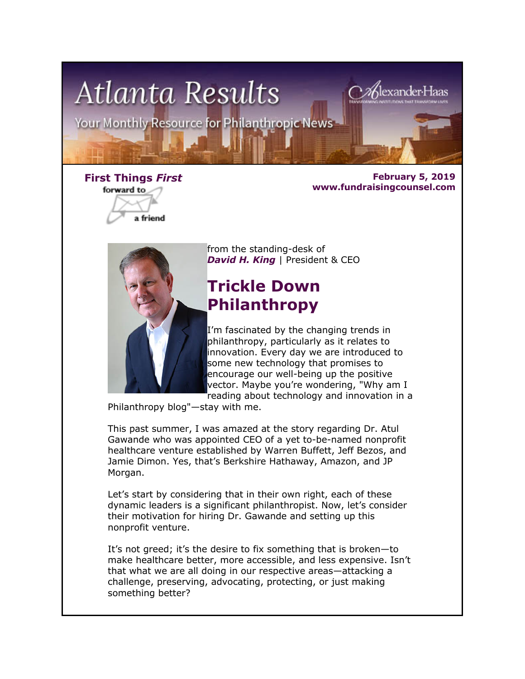

forward to

a friend

**First Things** *First* **February 5, 2019 www.fundraisingcounsel.com**



from the standing-desk of **David H. King** | President & CEO

# **Trickle Down Philanthropy**

I'm fascinated by the changing trends in philanthropy, particularly as it relates to innovation. Every day we are introduced to some new technology that promises to encourage our well-being up the positive vector. Maybe you're wondering, "Why am I reading about technology and innovation in a

Philanthropy blog"—stay with me.

This past summer, I was amazed at the story regarding Dr. Atul Gawande who was appointed CEO of a yet to-be-named nonprofit healthcare venture established by Warren Buffett, Jeff Bezos, and Jamie Dimon. Yes, that's Berkshire Hathaway, Amazon, and JP Morgan.

Let's start by considering that in their own right, each of these dynamic leaders is a significant philanthropist. Now, let's consider their motivation for hiring Dr. Gawande and setting up this nonprofit venture.

It's not greed; it's the desire to fix something that is broken—to make healthcare better, more accessible, and less expensive. Isn't that what we are all doing in our respective areas—attacking a challenge, preserving, advocating, protecting, or just making something better?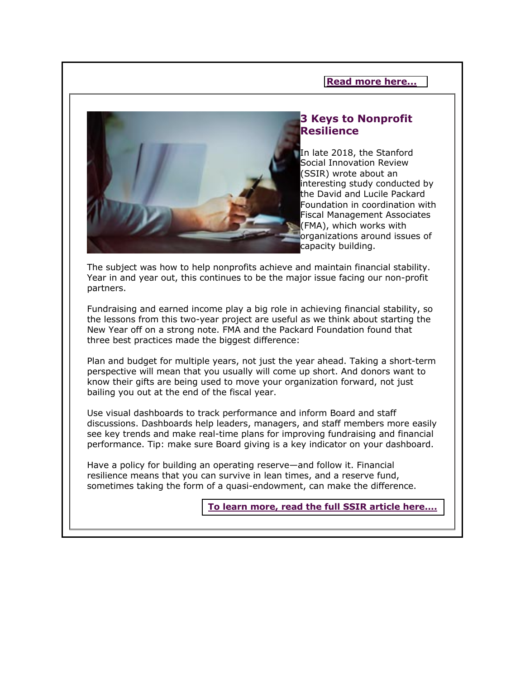#### **[Read more here...](http://fundraisingcounsel.com/trickle-down-philanthropy/)**



#### **3 Keys to Nonprofit Resilience**

In late 2018, the Stanford Social Innovation Review (SSIR) wrote about an interesting study conducted by the David and Lucile Packard Foundation in coordination with Fiscal Management Associates (FMA), which works with organizations around issues of capacity building.

The subject was how to help nonprofits achieve and maintain financial stability. Year in and year out, this continues to be the major issue facing our non-profit partners.

Fundraising and earned income play a big role in achieving financial stability, so the lessons from this two-year project are useful as we think about starting the New Year off on a strong note. FMA and the Packard Foundation found that three best practices made the biggest difference:

Plan and budget for multiple years, not just the year ahead. Taking a short-term perspective will mean that you usually will come up short. And donors want to know their gifts are being used to move your organization forward, not just bailing you out at the end of the fiscal year.

Use visual dashboards to track performance and inform Board and staff discussions. Dashboards help leaders, managers, and staff members more easily see key trends and make real-time plans for improving fundraising and financial performance. Tip: make sure Board giving is a key indicator on your dashboard.

Have a policy for building an operating reserve—and follow it. Financial resilience means that you can survive in lean times, and a reserve fund, sometimes taking the form of a quasi-endowment, can make the difference.

**[To learn more, read the full SSIR article here....](http://ssir.org/articles/entry/building_financially_resilient_nonprofits_lessons_from_the_field)**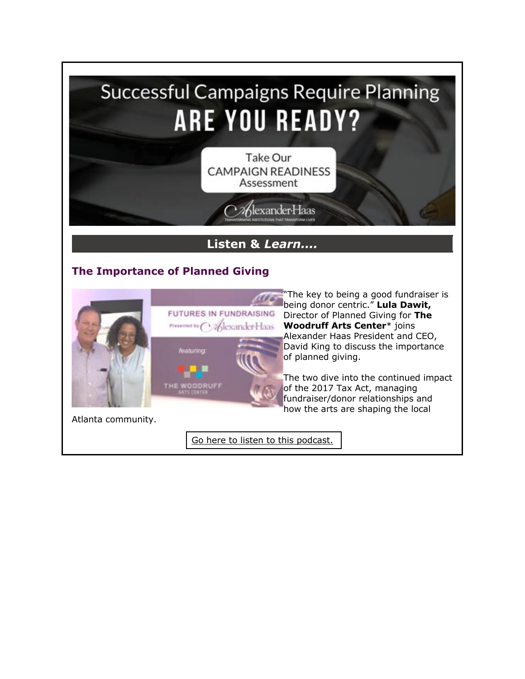

**Woodruff Arts Center**\* joins Alexander Haas President and CEO, David King to discuss the importance of planned giving.

The two dive into the continued impact of the 2017 Tax Act, managing fundraiser/donor relationships and how the arts are shaping the local

Atlanta community.

[Go here to listen to this podcast.](http://fundraisingcounsel.com/the-importance-of-planned-giving-with-lula-dawit-of-the-woodruff-arts-center/)

eaturing

THE WOODRUFF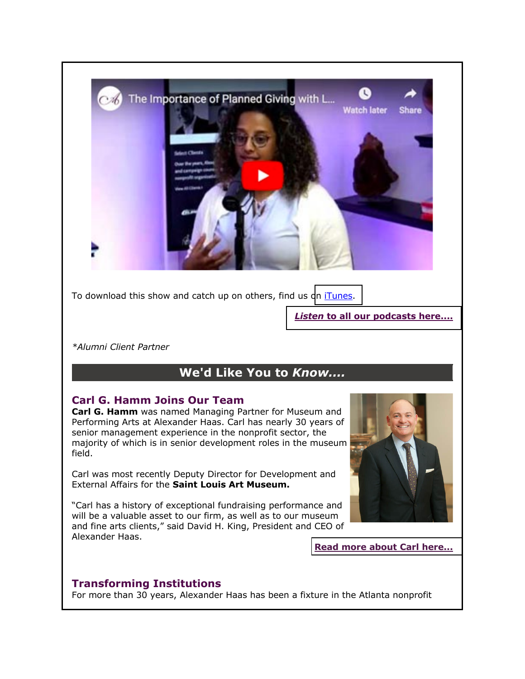

To download this show and catch up on others, find us [on iTunes.](http://itunes.apple.com/us/podcast/futures-in-fundraising/id986092373?mt=2)

*Listen* **[to all our podcasts here....](http://fundraisingcounsel.com/news-views/futures-in-fundraising-podcasts/)**

*\*Alumni Client Partner*

## **We'd Like You to** *Know....*

### **Carl G. Hamm Joins Our Team**

**Carl G. Hamm** was named Managing Partner for Museum and Performing Arts at Alexander Haas. Carl has nearly 30 years of senior management experience in the nonprofit sector, the majority of which is in senior development roles in the museum field.

Carl was most recently Deputy Director for Development and External Affairs for the **Saint Louis Art Museum.**

"Carl has a history of exceptional fundraising performance and will be a valuable asset to our firm, as well as to our museum and fine arts clients," said David H. King, President and CEO of Alexander Haas.

**[Read more about Carl here...](http://fundraisingcounsel.com/meet-the-team/carl-hamm/)**

### **Transforming Institutions**

For more than 30 years, Alexander Haas has been a fixture in the Atlanta nonprofit